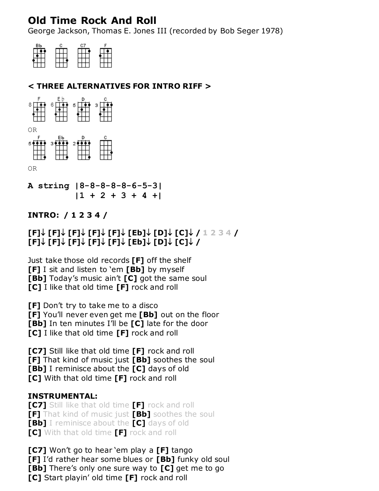# **Old Time Rock And Roll**

George Jackson, Thomas E. Jones III (recorded by Bob Seger 1978)

| вь |  |  |
|----|--|--|
|    |  |  |
|    |  |  |
|    |  |  |
|    |  |  |

# **< THREE ALTERNATIVES FOR INTRO RIFF >**



**A string |8-8-8-8-8-6-5-3| |1 + 2 + 3 + 4 +|**

### **INTRO: / 1 2 3 4 /**

## $[$  **[F]**  $\downarrow$   $[$  **[F]**  $\downarrow$   $[$   $[$  **F]**  $\downarrow$   $[$   $[$  **Eb]**  $\downarrow$   $[$   $\Box$ ]  $\downarrow$   $[$   $\Box$   $\downarrow$   $\bot$   $\Box$   $\Box$   $\Box$   $\bot$ **[F] [F] [F] [F] [F] [Eb] [D] [C] /**

Just take those old records **[F]** off the shelf **[F]** I sit and listen to 'em **[Bb]** by myself **[Bb]** Today's music ain't **[C]** got the same soul **[C]** I like that old time **[F]** rock and roll

**[F]** Don't try to take me to a disco **[F]** You'll never even get me **[Bb]** out on the floor **[Bb]** In ten minutes I'll be **[C]** late for the door **[C]** I like that old time **[F]** rock and roll

**[C7]** Still like that old time **[F]** rock and roll **[F]** That kind of music just **[Bb]** soothes the soul **[Bb]** I reminisce about the **[C]** days of old **[C]** With that old time **[F]** rock and roll

#### **INSTRUMENTAL:**

**[C7]** Still like that old time **[F]** rock and roll **[F]** That kind of music just **[Bb]** soothes the soul **[Bb]** I reminisce about the **[C]** days of old **[C]** With that old time **[F]** rock and roll

**[C7]** Won't go to hear 'em play a **[F]** tango **[F]** I'd rather hear some blues or **[Bb]** funky old soul **[Bb]** There's only one sure way to **[C]** get me to go **[C]** Start playin' old time **[F]** rock and roll